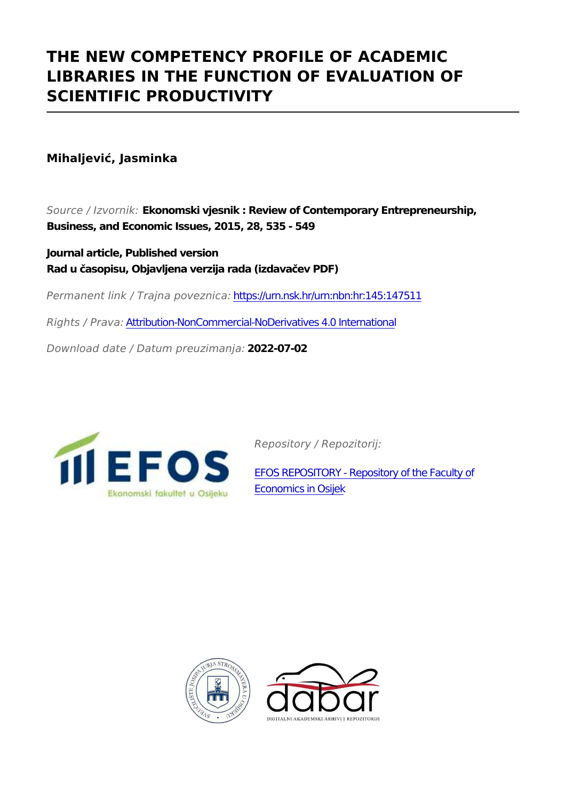## **THE NEW COMPETENCY PROFILE OF ACADEMIC LIBRARIES IN THE FUNCTION OF EVALUATION OF SCIENTIFIC PRODUCTIVITY**

**Mihaljević, Jasminka**

*Source / Izvornik:* **Ekonomski vjesnik : Review of Contemporary Entrepreneurship, Business, and Economic Issues, 2015, 28, 535 - 549**

**Journal article, Published version Rad u časopisu, Objavljena verzija rada (izdavačev PDF)**

*Permanent link / Trajna poveznica:* <https://urn.nsk.hr/urn:nbn:hr:145:147511>

*Rights / Prava:* [Attribution-NonCommercial-NoDerivatives 4.0 International](http://creativecommons.org/licenses/by-nc-nd/4.0/)

*Download date / Datum preuzimanja:* **2022-07-02**



*Repository / Repozitorij:*

[EFOS REPOSITORY - Repository of the Faculty o](https://repozitorij.efos.hr)f [Economics in Osijek](https://repozitorij.efos.hr)



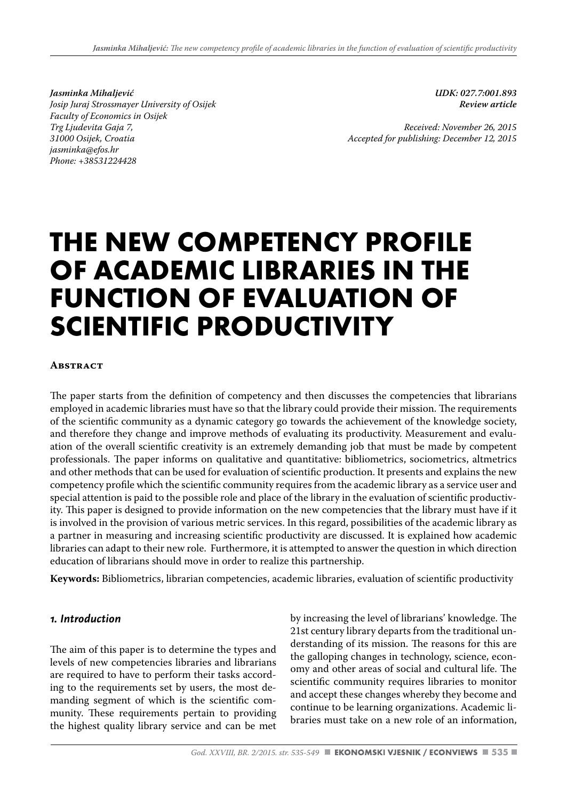*Jasminka Mihaljević Josip Juraj Strossmayer University of Osijek Faculty of Economics in Osijek Trg Ljudevita Gaja 7, 31000 Osijek, Croatia jasminka@efos.hr Phone: +38531224428*

*UDK: 027.7:001.893 Review article* 

*Received: November 26, 2015 Accepted for publishing: December 12, 2015*

# **THE NEW COMPETENCY PROFILE OF ACADEMIC LIBRARIES IN THE FUNCTION OF EVALUATION OF SCIENTIFIC PRODUCTIVITY**

#### **Abstract**

The paper starts from the definition of competency and then discusses the competencies that librarians employed in academic libraries must have so that the library could provide their mission. The requirements of the scientific community as a dynamic category go towards the achievement of the knowledge society, and therefore they change and improve methods of evaluating its productivity. Measurement and evaluation of the overall scientific creativity is an extremely demanding job that must be made by competent professionals. The paper informs on qualitative and quantitative: bibliometrics, sociometrics, altmetrics and other methods that can be used for evaluation of scientific production. It presents and explains the new competency profile which the scientific community requires from the academic library as a service user and special attention is paid to the possible role and place of the library in the evaluation of scientific productivity. This paper is designed to provide information on the new competencies that the library must have if it is involved in the provision of various metric services. In this regard, possibilities of the academic library as a partner in measuring and increasing scientific productivity are discussed. It is explained how academic libraries can adapt to their new role. Furthermore, it is attempted to answer the question in which direction education of librarians should move in order to realize this partnership.

**Keywords:** Bibliometrics, librarian competencies, academic libraries, evaluation of scientific productivity

#### *1. Introduction*

The aim of this paper is to determine the types and levels of new competencies libraries and librarians are required to have to perform their tasks according to the requirements set by users, the most demanding segment of which is the scientific community. These requirements pertain to providing the highest quality library service and can be met by increasing the level of librarians' knowledge. The 21st century library departs from the traditional understanding of its mission. The reasons for this are the galloping changes in technology, science, economy and other areas of social and cultural life. The scientific community requires libraries to monitor and accept these changes whereby they become and continue to be learning organizations. Academic libraries must take on a new role of an information,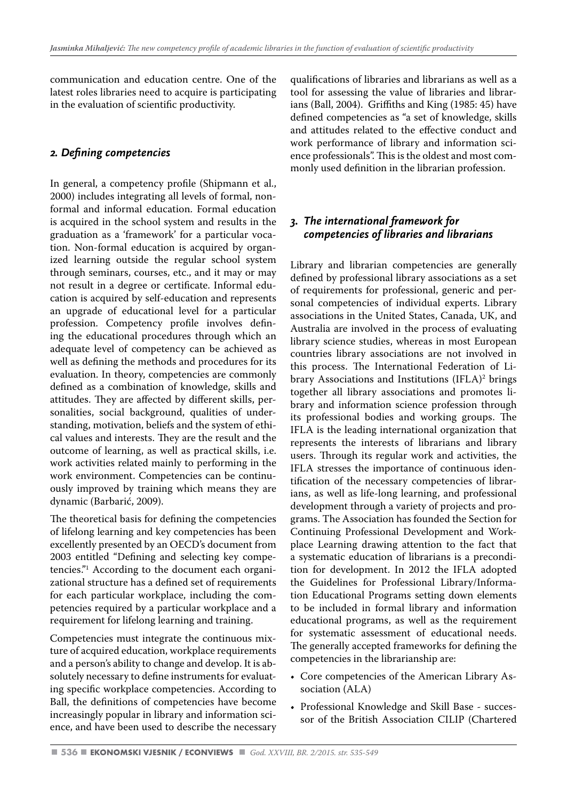communication and education centre. One of the latest roles libraries need to acquire is participating in the evaluation of scientific productivity.

#### *2. Defining competencies*

In general, a competency profile (Shipmann et al., 2000) includes integrating all levels of formal, nonformal and informal education. Formal education is acquired in the school system and results in the graduation as a 'framework' for a particular vocation. Non-formal education is acquired by organized learning outside the regular school system through seminars, courses, etc., and it may or may not result in a degree or certificate. Informal education is acquired by self-education and represents an upgrade of educational level for a particular profession. Competency profile involves defining the educational procedures through which an adequate level of competency can be achieved as well as defining the methods and procedures for its evaluation. In theory, competencies are commonly defined as a combination of knowledge, skills and attitudes. They are affected by different skills, personalities, social background, qualities of understanding, motivation, beliefs and the system of ethical values and interests. They are the result and the outcome of learning, as well as practical skills, i.e. work activities related mainly to performing in the work environment. Competencies can be continuously improved by training which means they are dynamic (Barbarić, 2009).

The theoretical basis for defining the competencies of lifelong learning and key competencies has been excellently presented by an OECD's document from 2003 entitled "Defining and selecting key competencies."1 According to the document each organizational structure has a defined set of requirements for each particular workplace, including the competencies required by a particular workplace and a requirement for lifelong learning and training.

Competencies must integrate the continuous mixture of acquired education, workplace requirements and a person's ability to change and develop. It is absolutely necessary to define instruments for evaluating specific workplace competencies. According to Ball, the definitions of competencies have become increasingly popular in library and information science, and have been used to describe the necessary qualifications of libraries and librarians as well as a tool for assessing the value of libraries and librarians (Ball, 2004). Griffiths and King (1985: 45) have defined competencies as "a set of knowledge, skills and attitudes related to the effective conduct and work performance of library and information science professionals". This is the oldest and most commonly used definition in the librarian profession.

#### *3. The international framework for competencies of libraries and librarians*

Library and librarian competencies are generally defined by professional library associations as a set of requirements for professional, generic and personal competencies of individual experts. Library associations in the United States, Canada, UK, and Australia are involved in the process of evaluating library science studies, whereas in most European countries library associations are not involved in this process. The International Federation of Library Associations and Institutions (IFLA)<sup>2</sup> brings together all library associations and promotes library and information science profession through its professional bodies and working groups. The IFLA is the leading international organization that represents the interests of librarians and library users. Through its regular work and activities, the IFLA stresses the importance of continuous identification of the necessary competencies of librarians, as well as life-long learning, and professional development through a variety of projects and programs. The Association has founded the Section for Continuing Professional Development and Workplace Learning drawing attention to the fact that a systematic education of librarians is a precondition for development. In 2012 the IFLA adopted the Guidelines for Professional Library/Information Educational Programs setting down elements to be included in formal library and information educational programs, as well as the requirement for systematic assessment of educational needs. The generally accepted frameworks for defining the competencies in the librarianship are:

- Core competencies of the American Library Association (ALA)
- Professional Knowledge and Skill Base successor of the British Association CILIP (Chartered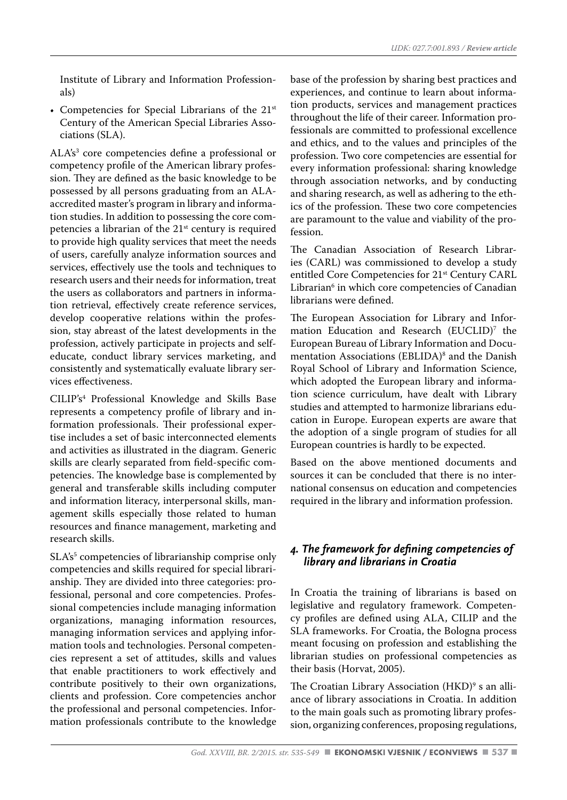Institute of Library and Information Professionals)

• Competencies for Special Librarians of the 21st Century of the American Special Libraries Associations (SLA).

ALA's<sup>3</sup> core competencies define a professional or competency profile of the American library profession. They are defined as the basic knowledge to be possessed by all persons graduating from an ALAaccredited master's program in library and information studies. In addition to possessing the core competencies a librarian of the  $21<sup>st</sup>$  century is required to provide high quality services that meet the needs of users, carefully analyze information sources and services, effectively use the tools and techniques to research users and their needs for information, treat the users as collaborators and partners in information retrieval, effectively create reference services, develop cooperative relations within the profession, stay abreast of the latest developments in the profession, actively participate in projects and selfeducate, conduct library services marketing, and consistently and systematically evaluate library services effectiveness.

CILIP's4 Professional Knowledge and Skills Base represents a competency profile of library and information professionals. Their professional expertise includes a set of basic interconnected elements and activities as illustrated in the diagram. Generic skills are clearly separated from field-specific competencies. The knowledge base is complemented by general and transferable skills including computer and information literacy, interpersonal skills, management skills especially those related to human resources and finance management, marketing and research skills.

SLA's<sup>5</sup> competencies of librarianship comprise only competencies and skills required for special librarianship. They are divided into three categories: professional, personal and core competencies. Professional competencies include managing information organizations, managing information resources, managing information services and applying information tools and technologies. Personal competencies represent a set of attitudes, skills and values that enable practitioners to work effectively and contribute positively to their own organizations, clients and profession. Core competencies anchor the professional and personal competencies. Information professionals contribute to the knowledge

base of the profession by sharing best practices and experiences, and continue to learn about information products, services and management practices throughout the life of their career. Information professionals are committed to professional excellence and ethics, and to the values and principles of the profession. Two core competencies are essential for every information professional: sharing knowledge through association networks, and by conducting and sharing research, as well as adhering to the ethics of the profession. These two core competencies are paramount to the value and viability of the profession.

The Canadian Association of Research Libraries (CARL) was commissioned to develop a study entitled Core Competencies for 21<sup>st</sup> Century CARL Librarian6 in which core competencies of Canadian librarians were defined.

The European Association for Library and Information Education and Research (EUCLID)<sup>7</sup> the European Bureau of Library Information and Documentation Associations (EBLIDA)<sup>8</sup> and the Danish Royal School of Library and Information Science, which adopted the European library and information science curriculum, have dealt with Library studies and attempted to harmonize librarians education in Europe. European experts are aware that the adoption of a single program of studies for all European countries is hardly to be expected.

Based on the above mentioned documents and sources it can be concluded that there is no international consensus on education and competencies required in the library and information profession.

#### *4. The framework for defining competencies of library and librarians in Croatia*

In Croatia the training of librarians is based on legislative and regulatory framework. Competency profiles are defined using ALA, CILIP and the SLA frameworks. For Croatia, the Bologna process meant focusing on profession and establishing the librarian studies on professional competencies as their basis (Horvat, 2005).

The Croatian Library Association (HKD)<sup>9</sup> s an alliance of library associations in Croatia. In addition to the main goals such as promoting library profession, organizing conferences, proposing regulations,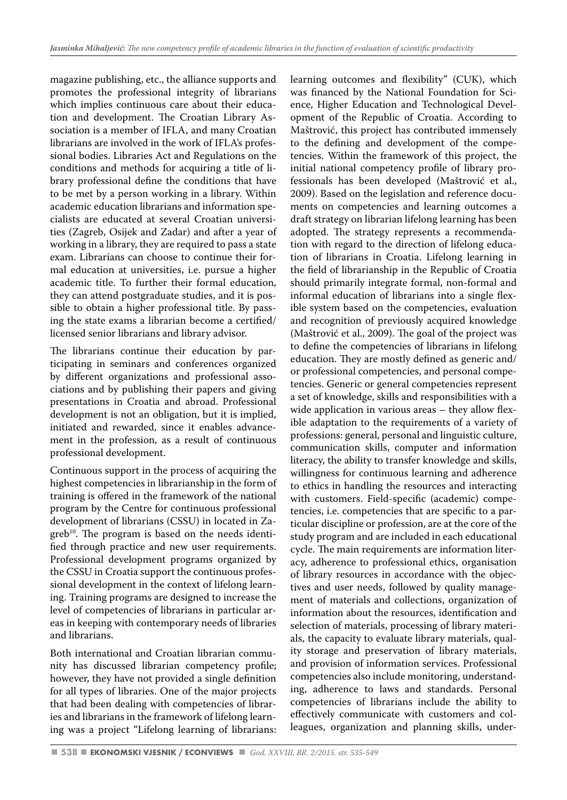magazine publishing, etc., the alliance supports and promotes the professional integrity of librarians which implies continuous care about their education and development. The Croatian Library Association is a member of IFLA, and many Croatian librarians are involved in the work of IFLA's professional bodies. Libraries Act and Regulations on the conditions and methods for acquiring a title of library professional define the conditions that have to be met by a person working in a library. Within academic education librarians and information specialists are educated at several Croatian universities (Zagreb, Osijek and Zadar) and after a year of working in a library, they are required to pass a state exam. Librarians can choose to continue their formal education at universities, i.e. pursue a higher academic title. To further their formal education, they can attend postgraduate studies, and it is possible to obtain a higher professional title. By passing the state exams a librarian become a certified/ licensed senior librarians and library advisor.

The librarians continue their education by participating in seminars and conferences organized by different organizations and professional associations and by publishing their papers and giving presentations in Croatia and abroad. Professional development is not an obligation, but it is implied, initiated and rewarded, since it enables advancement in the profession, as a result of continuous professional development.

Continuous support in the process of acquiring the highest competencies in librarianship in the form of training is offered in the framework of the national program by the Centre for continuous professional development of librarians (CSSU) in located in Zagreb<sup>10</sup>. The program is based on the needs identified through practice and new user requirements. Professional development programs organized by the CSSU in Croatia support the continuous professional development in the context of lifelong learning. Training programs are designed to increase the level of competencies of librarians in particular areas in keeping with contemporary needs of libraries and librarians.

Both international and Croatian librarian community has discussed librarian competency profile; however, they have not provided a single definition for all types of libraries. One of the major projects that had been dealing with competencies of libraries and librarians in the framework of lifelong learning was a project "Lifelong learning of librarians:

learning outcomes and flexibility" (CUK), which was financed by the National Foundation for Science, Higher Education and Technological Development of the Republic of Croatia. According to Maštrović, this project has contributed immensely to the defining and development of the competencies. Within the framework of this project, the initial national competency profile of library professionals has been developed (Maštrović et al., 2009). Based on the legislation and reference documents on competencies and learning outcomes a draft strategy on librarian lifelong learning has been adopted. The strategy represents a recommendation with regard to the direction of lifelong education of librarians in Croatia. Lifelong learning in the field of librarianship in the Republic of Croatia should primarily integrate formal, non-formal and informal education of librarians into a single flexible system based on the competencies, evaluation and recognition of previously acquired knowledge (Maštrović et al., 2009). The goal of the project was to define the competencies of librarians in lifelong education. They are mostly defined as generic and/ or professional competencies, and personal competencies. Generic or general competencies represent a set of knowledge, skills and responsibilities with a wide application in various areas – they allow flexible adaptation to the requirements of a variety of professions: general, personal and linguistic culture, communication skills, computer and information literacy, the ability to transfer knowledge and skills, willingness for continuous learning and adherence to ethics in handling the resources and interacting with customers. Field-specific (academic) competencies, i.e. competencies that are specific to a particular discipline or profession, are at the core of the study program and are included in each educational cycle. The main requirements are information literacy, adherence to professional ethics, organisation of library resources in accordance with the objectives and user needs, followed by quality management of materials and collections, organization of information about the resources, identification and selection of materials, processing of library materials, the capacity to evaluate library materials, quality storage and preservation of library materials, and provision of information services. Professional competencies also include monitoring, understanding, adherence to laws and standards. Personal competencies of librarians include the ability to effectively communicate with customers and colleagues, organization and planning skills, under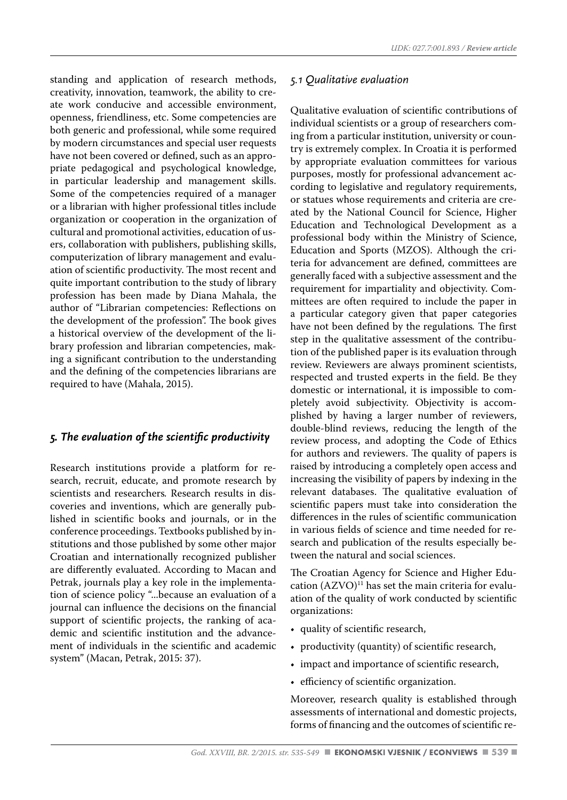standing and application of research methods, creativity, innovation, teamwork, the ability to create work conducive and accessible environment, openness, friendliness, etc. Some competencies are both generic and professional, while some required by modern circumstances and special user requests have not been covered or defined, such as an appropriate pedagogical and psychological knowledge, in particular leadership and management skills. Some of the competencies required of a manager or a librarian with higher professional titles include organization or cooperation in the organization of cultural and promotional activities, education of users, collaboration with publishers, publishing skills, computerization of library management and evaluation of scientific productivity. The most recent and quite important contribution to the study of library profession has been made by Diana Mahala, the author of "Librarian competencies: Reflections on the development of the profession". The book gives a historical overview of the development of the library profession and librarian competencies, making a significant contribution to the understanding and the defining of the competencies librarians are required to have (Mahala, 2015).

#### *5. The evaluation of the scientific productivity*

Research institutions provide a platform for research, recruit, educate, and promote research by scientists and researchers*.* Research results in discoveries and inventions, which are generally published in scientific books and journals, or in the conference proceedings. Textbooks published by institutions and those published by some other major Croatian and internationally recognized publisher are differently evaluated. According to Macan and Petrak, journals play a key role in the implementation of science policy "...because an evaluation of a journal can influence the decisions on the financial support of scientific projects, the ranking of academic and scientific institution and the advancement of individuals in the scientific and academic system" (Macan, Petrak, 2015: 37).

#### *5.1 Qualitative evaluation*

Qualitative evaluation of scientific contributions of individual scientists or a group of researchers coming from a particular institution, university or country is extremely complex. In Croatia it is performed by appropriate evaluation committees for various purposes, mostly for professional advancement according to legislative and regulatory requirements, or statues whose requirements and criteria are created by the National Council for Science, Higher Education and Technological Development as a professional body within the Ministry of Science, Education and Sports (MZOS). Although the criteria for advancement are defined, committees are generally faced with a subjective assessment and the requirement for impartiality and objectivity. Committees are often required to include the paper in a particular category given that paper categories have not been defined by the regulations*.* The first step in the qualitative assessment of the contribution of the published paper is its evaluation through review. Reviewers are always prominent scientists, respected and trusted experts in the field. Be they domestic or international, it is impossible to completely avoid subjectivity. Objectivity is accomplished by having a larger number of reviewers, double-blind reviews, reducing the length of the review process, and adopting the Code of Ethics for authors and reviewers. The quality of papers is raised by introducing a completely open access and increasing the visibility of papers by indexing in the relevant databases. The qualitative evaluation of scientific papers must take into consideration the differences in the rules of scientific communication in various fields of science and time needed for research and publication of the results especially between the natural and social sciences.

The Croatian Agency for Science and Higher Education  $(AZVO)^{11}$  has set the main criteria for evaluation of the quality of work conducted by scientific organizations:

- quality of scientific research,
- productivity (quantity) of scientific research,
- impact and importance of scientific research,
- efficiency of scientific organization.

Moreover, research quality is established through assessments of international and domestic projects, forms of financing and the outcomes of scientific re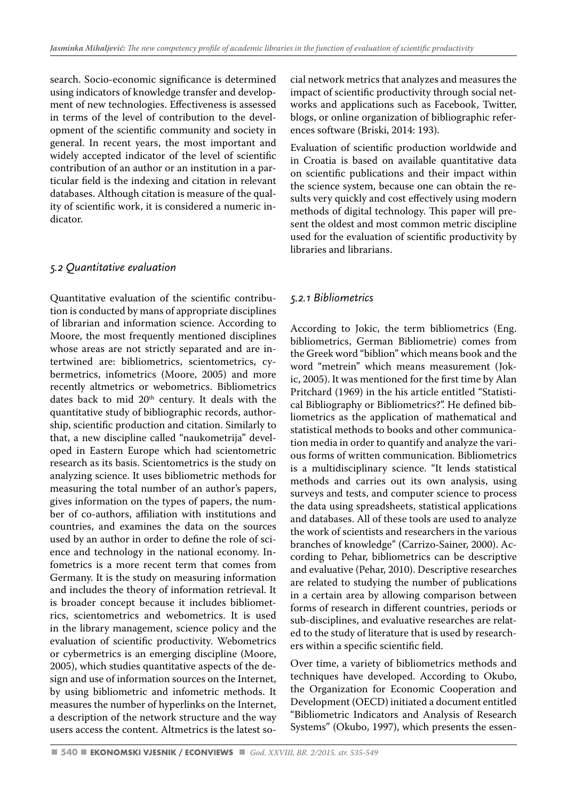search. Socio-economic significance is determined using indicators of knowledge transfer and development of new technologies. Effectiveness is assessed in terms of the level of contribution to the development of the scientific community and society in general. In recent years, the most important and widely accepted indicator of the level of scientific contribution of an author or an institution in a particular field is the indexing and citation in relevant databases. Although citation is measure of the quality of scientific work, it is considered a numeric indicator.

#### *5.2 Quantitative evaluation*

Quantitative evaluation of the scientific contribution is conducted by mans of appropriate disciplines of librarian and information science. According to Moore, the most frequently mentioned disciplines whose areas are not strictly separated and are intertwined are: bibliometrics, scientometrics, cybermetrics, infometrics (Moore, 2005) and more recently altmetrics or webometrics. Bibliometrics dates back to mid 20<sup>th</sup> century. It deals with the quantitative study of bibliographic records, authorship, scientific production and citation. Similarly to that, a new discipline called "naukometrija" developed in Eastern Europe which had scientometric research as its basis. Scientometrics is the study on analyzing science. It uses bibliometric methods for measuring the total number of an author's papers, gives information on the types of papers, the number of co-authors, affiliation with institutions and countries, and examines the data on the sources used by an author in order to define the role of science and technology in the national economy. Infometrics is a more recent term that comes from Germany. It is the study on measuring information and includes the theory of information retrieval. It is broader concept because it includes bibliometrics, scientometrics and webometrics. It is used in the library management, science policy and the evaluation of scientific productivity. Webometrics or cybermetrics is an emerging discipline (Moore, 2005), which studies quantitative aspects of the design and use of information sources on the Internet, by using bibliometric and infometric methods. It measures the number of hyperlinks on the Internet, a description of the network structure and the way users access the content. Altmetrics is the latest social network metrics that analyzes and measures the impact of scientific productivity through social networks and applications such as Facebook, Twitter, blogs, or online organization of bibliographic references software (Briski, 2014: 193).

Evaluation of scientific production worldwide and in Croatia is based on available quantitative data on scientific publications and their impact within the science system, because one can obtain the results very quickly and cost effectively using modern methods of digital technology. This paper will present the oldest and most common metric discipline used for the evaluation of scientific productivity by libraries and librarians.

#### *5.2.1 Bibliometrics*

According to Jokic, the term bibliometrics (Eng. bibliometrics, German Bibliometrie) comes from the Greek word "biblion" which means book and the word "metrein" which means measurement (Jokic, 2005). It was mentioned for the first time by Alan Pritchard (1969) in the his article entitled "Statistical Bibliography or Bibliometrics?". He defined bibliometrics as the application of mathematical and statistical methods to books and other communication media in order to quantify and analyze the various forms of written communication. Bibliometrics is a multidisciplinary science. "It lends statistical methods and carries out its own analysis, using surveys and tests, and computer science to process the data using spreadsheets, statistical applications and databases. All of these tools are used to analyze the work of scientists and researchers in the various branches of knowledge" (Carrizo-Sainer, 2000). According to Pehar, bibliometrics can be descriptive and evaluative (Pehar, 2010). Descriptive researches are related to studying the number of publications in a certain area by allowing comparison between forms of research in different countries, periods or sub-disciplines, and evaluative researches are related to the study of literature that is used by researchers within a specific scientific field.

Over time, a variety of bibliometrics methods and techniques have developed. According to Okubo, the Organization for Economic Cooperation and Development (OECD) initiated a document entitled "Bibliometric Indicators and Analysis of Research Systems" (Okubo, 1997), which presents the essen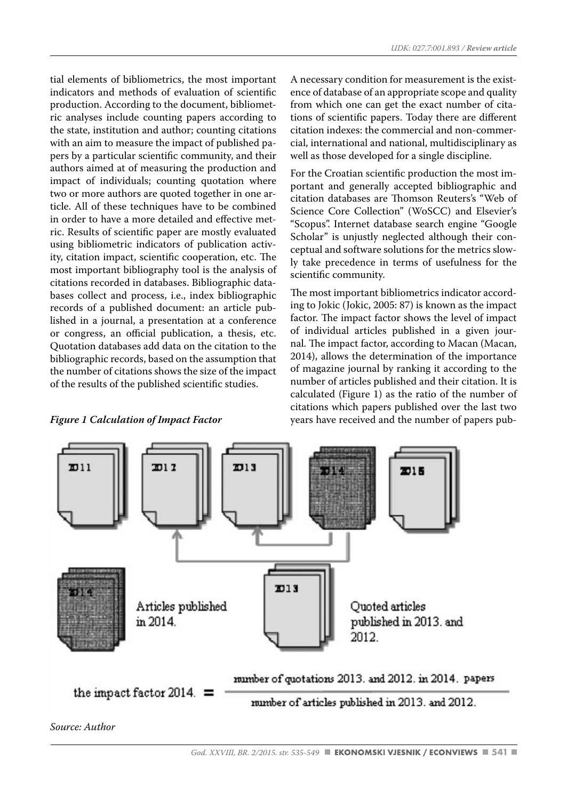tial elements of bibliometrics, the most important indicators and methods of evaluation of scientific production. According to the document, bibliometric analyses include counting papers according to the state, institution and author; counting citations with an aim to measure the impact of published papers by a particular scientific community, and their authors aimed at of measuring the production and impact of individuals; counting quotation where two or more authors are quoted together in one article. All of these techniques have to be combined in order to have a more detailed and effective metric. Results of scientific paper are mostly evaluated using bibliometric indicators of publication activity, citation impact, scientific cooperation, etc. The most important bibliography tool is the analysis of citations recorded in databases. Bibliographic databases collect and process, i.e., index bibliographic records of a published document: an article published in a journal, a presentation at a conference or congress, an official publication, a thesis, etc. Quotation databases add data on the citation to the bibliographic records, based on the assumption that the number of citations shows the size of the impact of the results of the published scientific studies.

#### *Figure 1 Calculation of Impact Factor*

A necessary condition for measurement is the existence of database of an appropriate scope and quality from which one can get the exact number of citations of scientific papers. Today there are different citation indexes: the commercial and non-commercial, international and national, multidisciplinary as well as those developed for a single discipline.

For the Croatian scientific production the most important and generally accepted bibliographic and citation databases are Thomson Reuters's "Web of Science Core Collection" (WoSCC) and Elsevier's "Scopus". Internet database search engine "Google Scholar" is unjustly neglected although their conceptual and software solutions for the metrics slowly take precedence in terms of usefulness for the scientific community.

The most important bibliometrics indicator according to Jokic (Jokic, 2005: 87) is known as the impact factor. The impact factor shows the level of impact of individual articles published in a given journal. The impact factor, according to Macan (Macan, 2014), allows the determination of the importance of magazine journal by ranking it according to the number of articles published and their citation. It is calculated (Figure 1) as the ratio of the number of citations which papers published over the last two years have received and the number of papers pub-

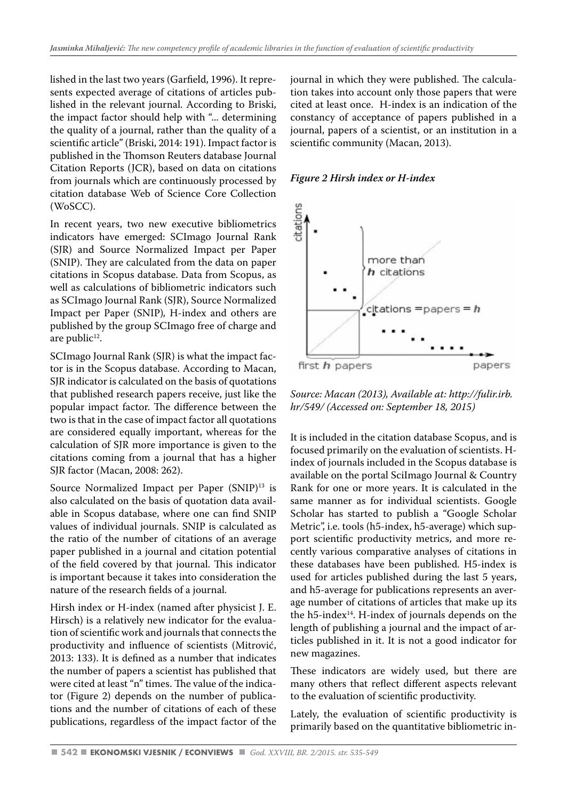lished in the last two years (Garfield, 1996). It represents expected average of citations of articles published in the relevant journal. According to Briski, the impact factor should help with "... determining the quality of a journal, rather than the quality of a scientific article" (Briski, 2014: 191). Impact factor is published in the Thomson Reuters database Journal Citation Reports (JCR), based on data on citations from journals which are continuously processed by citation database Web of Science Core Collection (WoSCC).

In recent years, two new executive bibliometrics indicators have emerged: SCImago Journal Rank (SJR) and Source Normalized Impact per Paper (SNIP). They are calculated from the data on paper citations in Scopus database. Data from Scopus, as well as calculations of bibliometric indicators such as SCImago Journal Rank (SJR), Source Normalized Impact per Paper (SNIP)*,* H-index and others are published by the group SCImago free of charge and are public<sup>12</sup>.

SCImago Journal Rank (SJR) is what the impact factor is in the Scopus database. According to Macan, SJR indicator is calculated on the basis of quotations that published research papers receive, just like the popular impact factor. The difference between the two is that in the case of impact factor all quotations are considered equally important, whereas for the calculation of SJR more importance is given to the citations coming from a journal that has a higher SJR factor (Macan, 2008: 262).

Source Normalized Impact per Paper (SNIP)<sup>13</sup> is also calculated on the basis of quotation data available in Scopus database, where one can find SNIP values of individual journals. SNIP is calculated as the ratio of the number of citations of an average paper published in a journal and citation potential of the field covered by that journal. This indicator is important because it takes into consideration the nature of the research fields of a journal.

Hirsh index or H-index (named after physicist J. E. Hirsch) is a relatively new indicator for the evaluation of scientific work and journals that connects the productivity and influence of scientists (Mitrović, 2013: 133). It is defined as a number that indicates the number of papers a scientist has published that were cited at least "n" times. The value of the indicator (Figure 2) depends on the number of publications and the number of citations of each of these publications, regardless of the impact factor of the journal in which they were published. The calculation takes into account only those papers that were cited at least once. H-index is an indication of the constancy of acceptance of papers published in a journal, papers of a scientist, or an institution in a scientific community (Macan, 2013).

#### *Figure 2 Hirsh index or H-index*



*Source: Macan (2013), Available at: http://fulir.irb. hr/549/ (Accessed on: September 18, 2015)*

It is included in the citation database Scopus, and is focused primarily on the evaluation of scientists. Hindex of journals included in the Scopus database is available on the portal SciImago Journal & Country Rank for one or more years. It is calculated in the same manner as for individual scientists. Google Scholar has started to publish a "Google Scholar Metric", i.e. tools (h5-index, h5-average) which support scientific productivity metrics, and more recently various comparative analyses of citations in these databases have been published. H5-index is used for articles published during the last 5 years, and h5-average for publications represents an average number of citations of articles that make up its the  $h5$ -index<sup>14</sup>. H-index of journals depends on the length of publishing a journal and the impact of articles published in it. It is not a good indicator for new magazines.

These indicators are widely used, but there are many others that reflect different aspects relevant to the evaluation of scientific productivity.

Lately, the evaluation of scientific productivity is primarily based on the quantitative bibliometric in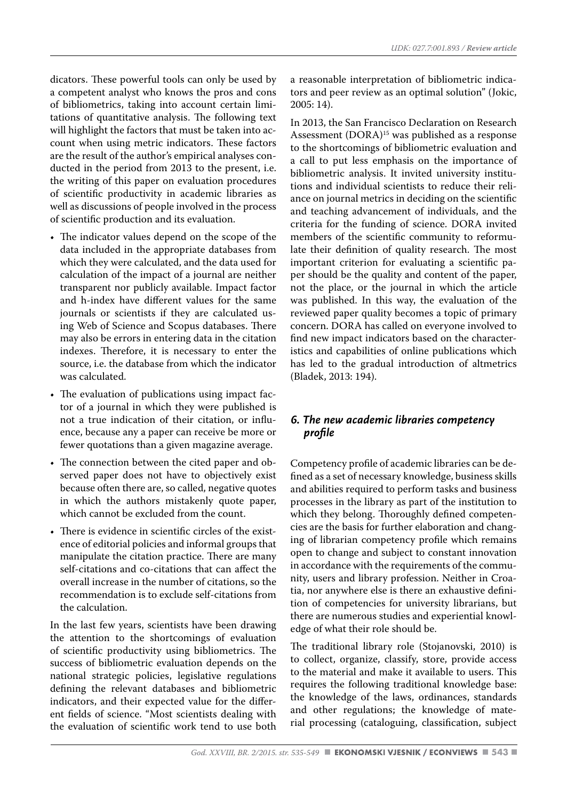dicators. These powerful tools can only be used by a competent analyst who knows the pros and cons of bibliometrics, taking into account certain limitations of quantitative analysis. The following text will highlight the factors that must be taken into account when using metric indicators. These factors are the result of the author's empirical analyses conducted in the period from 2013 to the present, i.e. the writing of this paper on evaluation procedures of scientific productivity in academic libraries as well as discussions of people involved in the process of scientific production and its evaluation.

- The indicator values depend on the scope of the data included in the appropriate databases from which they were calculated, and the data used for calculation of the impact of a journal are neither transparent nor publicly available. Impact factor and h-index have different values for the same journals or scientists if they are calculated using Web of Science and Scopus databases. There may also be errors in entering data in the citation indexes. Therefore, it is necessary to enter the source, i.e. the database from which the indicator was calculated.
- The evaluation of publications using impact factor of a journal in which they were published is not a true indication of their citation, or influence, because any a paper can receive be more or fewer quotations than a given magazine average.
- The connection between the cited paper and observed paper does not have to objectively exist because often there are, so called, negative quotes in which the authors mistakenly quote paper, which cannot be excluded from the count.
- There is evidence in scientific circles of the existence of editorial policies and informal groups that manipulate the citation practice. There are many self-citations and co-citations that can affect the overall increase in the number of citations, so the recommendation is to exclude self-citations from the calculation.

In the last few years, scientists have been drawing the attention to the shortcomings of evaluation of scientific productivity using bibliometrics. The success of bibliometric evaluation depends on the national strategic policies, legislative regulations defining the relevant databases and bibliometric indicators, and their expected value for the different fields of science. "Most scientists dealing with the evaluation of scientific work tend to use both

a reasonable interpretation of bibliometric indicators and peer review as an optimal solution" (Jokic, 2005: 14).

In 2013, the San Francisco Declaration on Research Assessment (DORA)15 was published as a response to the shortcomings of bibliometric evaluation and a call to put less emphasis on the importance of bibliometric analysis. It invited university institutions and individual scientists to reduce their reliance on journal metrics in deciding on the scientific and teaching advancement of individuals, and the criteria for the funding of science. DORA invited members of the scientific community to reformulate their definition of quality research. The most important criterion for evaluating a scientific paper should be the quality and content of the paper, not the place, or the journal in which the article was published. In this way, the evaluation of the reviewed paper quality becomes a topic of primary concern. DORA has called on everyone involved to find new impact indicators based on the characteristics and capabilities of online publications which has led to the gradual introduction of altmetrics (Bladek, 2013: 194).

#### *6. The new academic libraries competency profile*

Competency profile of academic libraries can be defined as a set of necessary knowledge, business skills and abilities required to perform tasks and business processes in the library as part of the institution to which they belong. Thoroughly defined competencies are the basis for further elaboration and changing of librarian competency profile which remains open to change and subject to constant innovation in accordance with the requirements of the community, users and library profession. Neither in Croatia, nor anywhere else is there an exhaustive definition of competencies for university librarians, but there are numerous studies and experiential knowledge of what their role should be.

The traditional library role (Stojanovski, 2010) is to collect, organize, classify, store, provide access to the material and make it available to users. This requires the following traditional knowledge base: the knowledge of the laws, ordinances, standards and other regulations; the knowledge of material processing (cataloguing, classification, subject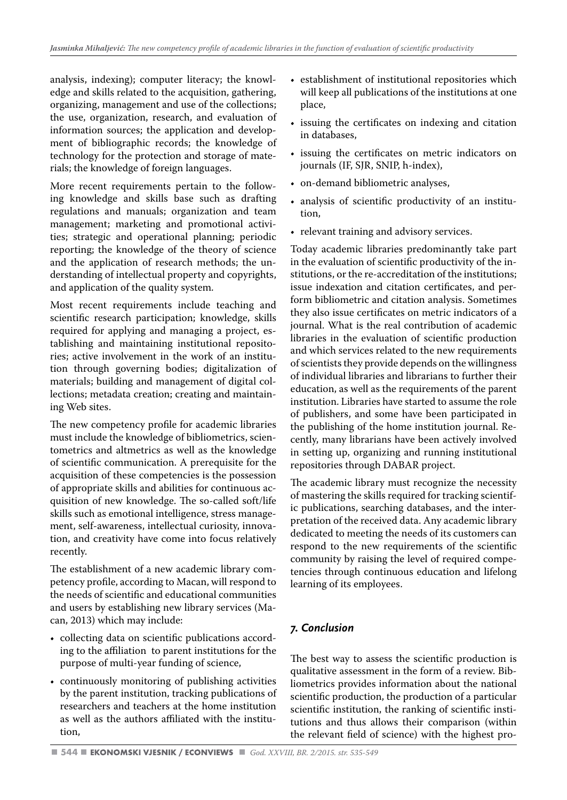analysis, indexing); computer literacy; the knowledge and skills related to the acquisition, gathering, organizing, management and use of the collections; the use, organization, research, and evaluation of information sources; the application and development of bibliographic records; the knowledge of technology for the protection and storage of materials; the knowledge of foreign languages.

More recent requirements pertain to the following knowledge and skills base such as drafting regulations and manuals; organization and team management; marketing and promotional activities; strategic and operational planning; periodic reporting; the knowledge of the theory of science and the application of research methods; the understanding of intellectual property and copyrights, and application of the quality system.

Most recent requirements include teaching and scientific research participation; knowledge, skills required for applying and managing a project, establishing and maintaining institutional repositories; active involvement in the work of an institution through governing bodies; digitalization of materials; building and management of digital collections; metadata creation; creating and maintaining Web sites.

The new competency profile for academic libraries must include the knowledge of bibliometrics, scientometrics and altmetrics as well as the knowledge of scientific communication. A prerequisite for the acquisition of these competencies is the possession of appropriate skills and abilities for continuous acquisition of new knowledge. The so-called soft/life skills such as emotional intelligence, stress management, self-awareness, intellectual curiosity, innovation, and creativity have come into focus relatively recently.

The establishment of a new academic library competency profile, according to Macan, will respond to the needs of scientific and educational communities and users by establishing new library services (Macan, 2013) which may include:

- collecting data on scientific publications according to the affiliation to parent institutions for the purpose of multi-year funding of science,
- continuously monitoring of publishing activities by the parent institution, tracking publications of researchers and teachers at the home institution as well as the authors affiliated with the institution,
- establishment of institutional repositories which will keep all publications of the institutions at one place,
- issuing the certificates on indexing and citation in databases,
- issuing the certificates on metric indicators on journals (IF, SJR, SNIP, h-index),
- on-demand bibliometric analyses,
- analysis of scientific productivity of an institution,
- relevant training and advisory services.

Today academic libraries predominantly take part in the evaluation of scientific productivity of the institutions, or the re-accreditation of the institutions; issue indexation and citation certificates, and perform bibliometric and citation analysis. Sometimes they also issue certificates on metric indicators of a journal. What is the real contribution of academic libraries in the evaluation of scientific production and which services related to the new requirements of scientists they provide depends on the willingness of individual libraries and librarians to further their education, as well as the requirements of the parent institution. Libraries have started to assume the role of publishers, and some have been participated in the publishing of the home institution journal. Recently, many librarians have been actively involved in setting up, organizing and running institutional repositories through DABAR project.

The academic library must recognize the necessity of mastering the skills required for tracking scientific publications, searching databases, and the interpretation of the received data. Any academic library dedicated to meeting the needs of its customers can respond to the new requirements of the scientific community by raising the level of required competencies through continuous education and lifelong learning of its employees.

#### *7. Conclusion*

The best way to assess the scientific production is qualitative assessment in the form of a review. Bibliometrics provides information about the national scientific production, the production of a particular scientific institution, the ranking of scientific institutions and thus allows their comparison (within the relevant field of science) with the highest pro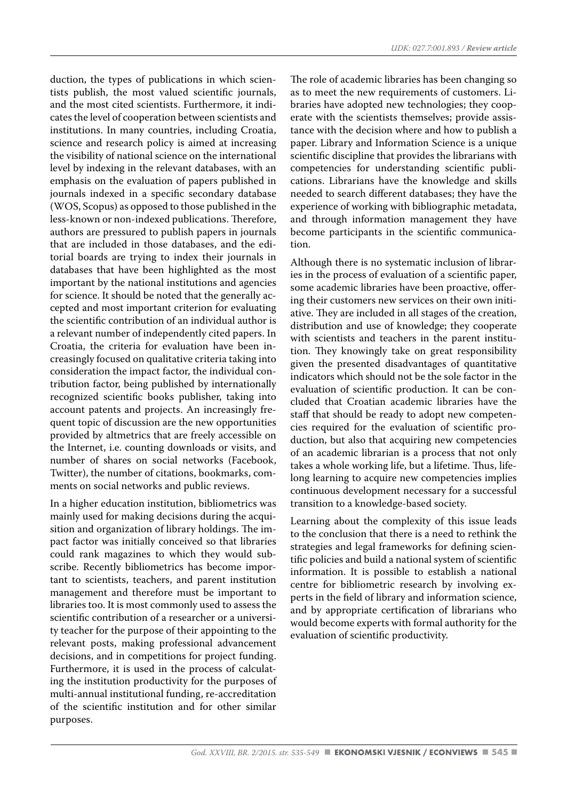duction, the types of publications in which scientists publish, the most valued scientific journals, and the most cited scientists. Furthermore, it indicates the level of cooperation between scientists and institutions. In many countries, including Croatia, science and research policy is aimed at increasing the visibility of national science on the international level by indexing in the relevant databases, with an emphasis on the evaluation of papers published in journals indexed in a specific secondary database (WOS, Scopus) as opposed to those published in the less-known or non-indexed publications. Therefore, authors are pressured to publish papers in journals that are included in those databases, and the editorial boards are trying to index their journals in databases that have been highlighted as the most important by the national institutions and agencies for science. It should be noted that the generally accepted and most important criterion for evaluating the scientific contribution of an individual author is a relevant number of independently cited papers. In Croatia, the criteria for evaluation have been increasingly focused on qualitative criteria taking into consideration the impact factor, the individual contribution factor, being published by internationally recognized scientific books publisher, taking into account patents and projects. An increasingly frequent topic of discussion are the new opportunities provided by altmetrics that are freely accessible on the Internet, i.e. counting downloads or visits, and number of shares on social networks (Facebook, Twitter), the number of citations, bookmarks, comments on social networks and public reviews.

In a higher education institution, bibliometrics was mainly used for making decisions during the acquisition and organization of library holdings. The impact factor was initially conceived so that libraries could rank magazines to which they would subscribe. Recently bibliometrics has become important to scientists, teachers, and parent institution management and therefore must be important to libraries too. It is most commonly used to assess the scientific contribution of a researcher or a university teacher for the purpose of their appointing to the relevant posts, making professional advancement decisions, and in competitions for project funding. Furthermore, it is used in the process of calculating the institution productivity for the purposes of multi-annual institutional funding, re-accreditation of the scientific institution and for other similar purposes.

The role of academic libraries has been changing so as to meet the new requirements of customers. Libraries have adopted new technologies; they cooperate with the scientists themselves; provide assistance with the decision where and how to publish a paper. Library and Information Science is a unique scientific discipline that provides the librarians with competencies for understanding scientific publications. Librarians have the knowledge and skills needed to search different databases; they have the experience of working with bibliographic metadata, and through information management they have become participants in the scientific communication.

Although there is no systematic inclusion of libraries in the process of evaluation of a scientific paper, some academic libraries have been proactive, offering their customers new services on their own initiative. They are included in all stages of the creation, distribution and use of knowledge; they cooperate with scientists and teachers in the parent institution. They knowingly take on great responsibility given the presented disadvantages of quantitative indicators which should not be the sole factor in the evaluation of scientific production. It can be concluded that Croatian academic libraries have the staff that should be ready to adopt new competencies required for the evaluation of scientific production, but also that acquiring new competencies of an academic librarian is a process that not only takes a whole working life, but a lifetime. Thus, lifelong learning to acquire new competencies implies continuous development necessary for a successful transition to a knowledge-based society.

Learning about the complexity of this issue leads to the conclusion that there is a need to rethink the strategies and legal frameworks for defining scientific policies and build a national system of scientific information. It is possible to establish a national centre for bibliometric research by involving experts in the field of library and information science, and by appropriate certification of librarians who would become experts with formal authority for the evaluation of scientific productivity.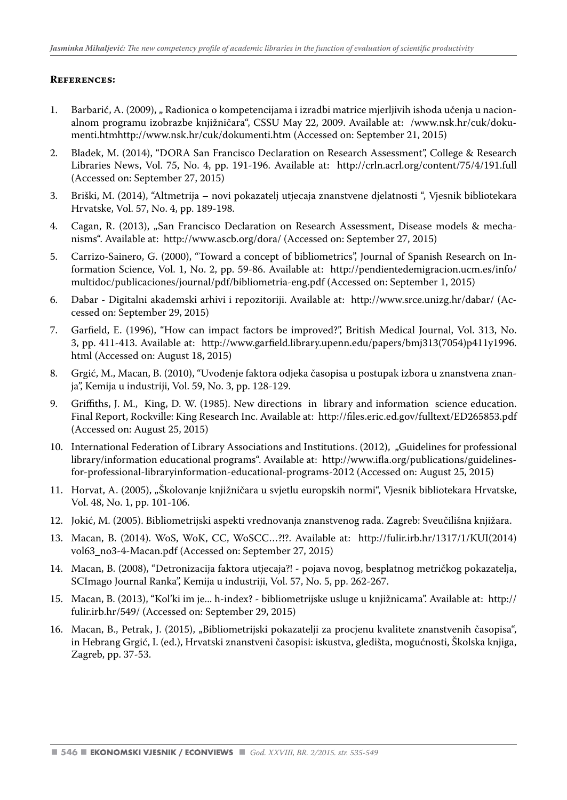#### **References:**

- 1. Barbarić, A. (2009), "Radionica o kompetencijama i izradbi matrice mierlijvih ishoda učenja u nacionalnom programu izobrazbe knjižničara", CSSU May 22, 2009. Available at: /www.nsk.hr/cuk/dokumenti.htmhttp://www.nsk.hr/cuk/dokumenti.htm (Accessed on: September 21, 2015)
- 2. Bladek, M. (2014), "DORA San Francisco Declaration on Research Assessment", College & Research Libraries News, Vol. 75, No. 4, pp. 191-196. Available at: http://crln.acrl.org/content/75/4/191.full (Accessed on: September 27, 2015)
- 3. Briški, M. (2014), "Altmetrija novi pokazatelj utjecaja znanstvene djelatnosti ", Vjesnik bibliotekara Hrvatske, Vol. 57, No. 4, pp. 189-198.
- 4. Cagan, R. (2013), "San Francisco Declaration on Research Assessment, Disease models & mechanisms". Available at: http://www.ascb.org/dora/ (Accessed on: September 27, 2015)
- 5. Carrizo-Sainero, G. (2000), "Toward a concept of bibliometrics", Journal of Spanish Research on Information Science, Vol. 1, No. 2, pp. 59-86. Available at: http://pendientedemigracion.ucm.es/info/ multidoc/publicaciones/journal/pdf/bibliometria-eng.pdf (Accessed on: September 1, 2015)
- 6. Dabar Digitalni akademski arhivi i repozitoriji. Available at: http://www.srce.unizg.hr/dabar/ (Accessed on: September 29, 2015)
- 7. Garfield, E. (1996), "How can impact factors be improved?", British Medical Journal, Vol. 313, No. 3, pp. 411-413. Available at: http://www.garfield.library.upenn.edu/papers/bmj313(7054)p411y1996. html (Accessed on: August 18, 2015)
- 8. Grgić, M., Macan, B. (2010), "Uvođenje faktora odjeka časopisa u postupak izbora u znanstvena znanja", Kemija u industriji, Vol. 59, No. 3, pp. 128-129.
- 9. Griffiths, J. M., King, D. W. (1985). New directions in library and information science education. Final Report, Rockville: King Research Inc. Available at: http://files.eric.ed.gov/fulltext/ED265853.pdf (Accessed on: August 25, 2015)
- 10. International Federation of Library Associations and Institutions. (2012), "Guidelines for professional library/information educational programs". Available at: http://www.ifla.org/publications/guidelinesfor-professional-libraryinformation-educational-programs-2012 (Accessed on: August 25, 2015)
- 11. Horvat, A. (2005), "Školovanje knjižničara u svjetlu europskih normi", Vjesnik bibliotekara Hrvatske, Vol. 48, No. 1, pp. 101-106.
- 12. Jokić, M. (2005). Bibliometrijski aspekti vrednovanja znanstvenog rada. Zagreb: Sveučilišna knjižara.
- 13. Macan, B. (2014). WoS, WoK, CC, WoSCC…?!?. Available at: http://fulir.irb.hr/1317/1/KUI(2014) vol63\_no3-4-Macan.pdf (Accessed on: September 27, 2015)
- 14. Macan, B. (2008), "Detronizacija faktora utjecaja?! pojava novog, besplatnog metričkog pokazatelja, SCImago Journal Ranka", Kemija u industriji, Vol. 57, No. 5, pp. 262-267.
- 15. Macan, B. (2013), "Kol'ki im je... h-index? bibliometrijske usluge u knjižnicama". Available at: http:// fulir.irb.hr/549/ (Accessed on: September 29, 2015)
- 16. Macan, B., Petrak, J. (2015), "Bibliometrijski pokazatelji za procjenu kvalitete znanstvenih časopisa", in Hebrang Grgić, I. (ed.), Hrvatski znanstveni časopisi: iskustva, gledišta, mogućnosti, Školska knjiga, Zagreb, pp. 37-53.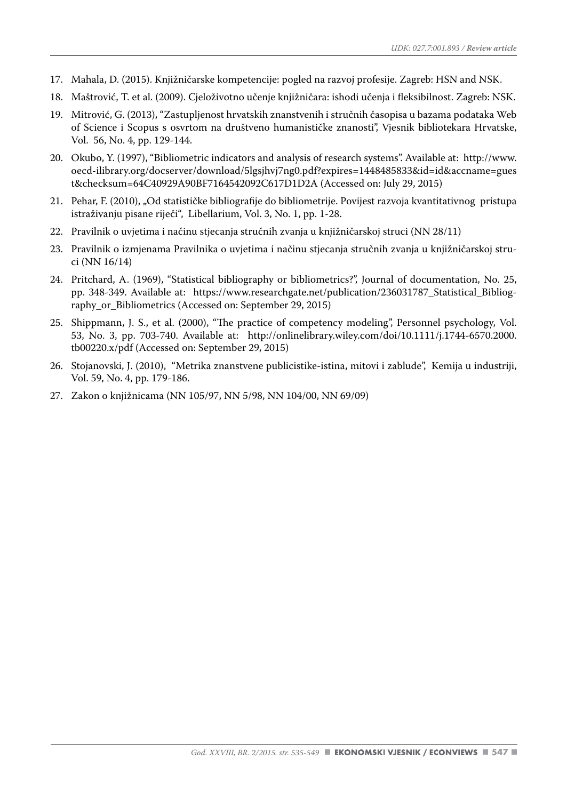- 17. Mahala, D. (2015). Knjižničarske kompetencije: pogled na razvoj profesije. Zagreb: HSN and NSK.
- 18. Maštrović, T. et al. (2009). Cjeloživotno učenje knjižničara: ishodi učenja i fleksibilnost. Zagreb: NSK.
- 19. Mitrović, G. (2013), "Zastupljenost hrvatskih znanstvenih i stručnih časopisa u bazama podataka Web of Science i Scopus s osvrtom na društveno humanističke znanosti", Vjesnik bibliotekara Hrvatske, Vol. 56, No. 4, pp. 129-144.
- 20. Okubo, Y. (1997), "Bibliometric indicators and analysis of research systems". Available at: http://www. oecd-ilibrary.org/docserver/download/5lgsjhvj7ng0.pdf?expires=1448485833&id=id&accname=gues t&checksum=64C40929A90BF7164542092C617D1D2A (Accessed on: July 29, 2015)
- 21. Pehar, F. (2010), "Od statističke bibliografije do bibliometrije. Povijest razvoja kvantitativnog pristupa istraživanju pisane riječi", Libellarium, Vol. 3, No. 1, pp. 1-28.
- 22. Pravilnik o uvjetima i načinu stjecanja stručnih zvanja u knjižničarskoj struci (NN 28/11)
- 23. Pravilnik o izmjenama Pravilnika o uvjetima i načinu stjecanja stručnih zvanja u knjižničarskoj struci (NN 16/14)
- 24. Pritchard, A. (1969), "Statistical bibliography or bibliometrics?", Journal of documentation, No. 25, pp. 348-349. Available at: https://www.researchgate.net/publication/236031787\_Statistical\_Bibliography or Bibliometrics (Accessed on: September 29, 2015)
- 25. Shippmann, J. S., et al. (2000), "The practice of competency modeling", Personnel psychology, Vol. 53, No. 3, pp. 703-740. Available at: http://onlinelibrary.wiley.com/doi/10.1111/j.1744-6570.2000. tb00220.x/pdf (Accessed on: September 29, 2015)
- 26. Stojanovski, J. (2010), "Metrika znanstvene publicistike-istina, mitovi i zablude", Kemija u industriji, Vol. 59, No. 4, pp. 179-186.
- 27. Zakon o knjižnicama (NN 105/97, NN 5/98, NN 104/00, NN 69/09)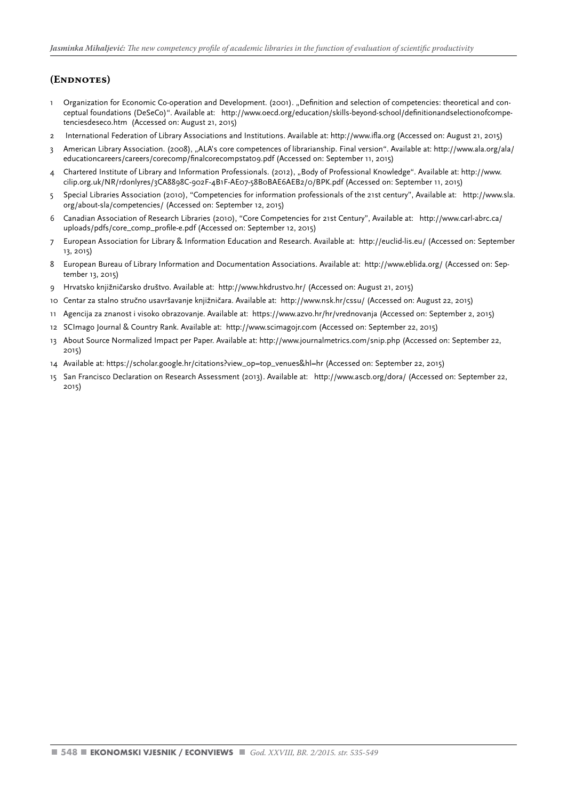#### **(Endnotes)**

- 1 Organization for Economic Co-operation and Development. (2001). "Definition and selection of competencies: theoretical and conceptual foundations (DeSeCo)". Available at: http://www.oecd.org/education/skills-beyond-school/definitionandselectionofcompetenciesdeseco.htm (Accessed on: August 21, 2015)
- 2 International Federation of Library Associations and Institutions. Available at: http://www.ifla.org (Accessed on: August 21, 2015)
- 3 American Library Association. (2008), "ALA's core competences of librarianship. Final version". Available at: http://www.ala.org/ala/ educationcareers/careers/corecomp/finalcorecompstat09.pdf (Accessed on: September 11, 2015)
- 4 Chartered Institute of Library and Information Professionals. (2012), "Body of Professional Knowledge". Available at: http://www. cilip.org.uk/NR/rdonlyres/3CA8898C-902F-4B1F-AE07-58B0BAE6AEB2/0/BPK.pdf (Accessed on: September 11, 2015)
- 5 Special Libraries Association (2010), "Competencies for information professionals of the 21st century", Available at: http://www.sla. org/about-sla/competencies/ (Accessed on: September 12, 2015)
- 6 Canadian Association of Research Libraries (2010), "Core Competencies for 21st Century", Available at: http://www.carl-abrc.ca/ uploads/pdfs/core\_comp\_profile-e.pdf (Accessed on: September 12, 2015)
- 7 European Association for Library & Information Education and Research. Available at: http://euclid-lis.eu/ (Accessed on: September 13, 2015)
- 8 European Bureau of Library Information and Documentation Associations. Available at: http://www.eblida.org/ (Accessed on: September 13, 2015)
- 9 Hrvatsko knjižničarsko društvo. Available at: http://www.hkdrustvo.hr/ (Accessed on: August 21, 2015)
- 10 Centar za stalno stručno usavršavanje knjižničara. Available at: http://www.nsk.hr/cssu/ (Accessed on: August 22, 2015)
- 11 Agencija za znanost i visoko obrazovanje. Available at: https://www.azvo.hr/hr/vrednovanja (Accessed on: September 2, 2015)
- 12 SCImago Journal & Country Rank. Available at: http://www.scimagojr.com (Accessed on: September 22, 2015)
- 13 About Source Normalized Impact per Paper. Available at: http://www.journalmetrics.com/snip.php (Accessed on: September 22, 2015)
- 14 Available at: https://scholar.google.hr/citations?view\_op=top\_venues&hl=hr (Accessed on: September 22, 2015)
- 15 San Francisco Declaration on Research Assessment (2013). Available at: http://www.ascb.org/dora/ (Accessed on: September 22, 2015)